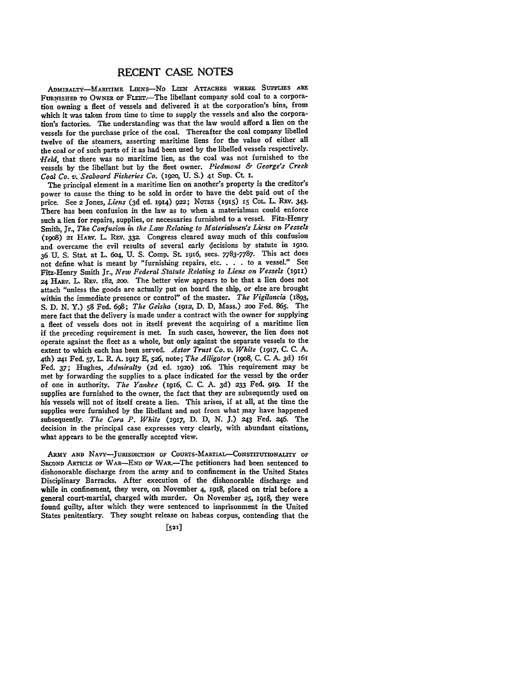## RECENT **CASE NOTES**

ADMIRALTY-MARITIME LIENS-No LIEN ATTACHES WHERE SUPPLIES ARE FURMISHED TO OWNER OF FLEET.<sup>---</sup>The libellant company sold coal to a corporation owning a fleet of vessels and delivered it at the corporation's bins, from which it was taken from time to time to supply the vessels and also the corporation's factories. The understanding was that the law would afford a lien on the vessels for the purchase price of the coal. Thereafter the coal company libelled twelve of the steamers, asserting maritime liens for the value of either all the coal or of such parts of it as had been used by the libelled vessels respectively. *H-eld,* that there was no maritime lien, as the coal was not furnished to the vessels by the libellant but by the fleet owner. *Piedmont & George's Creek Coal Co. v. Seaboard Fisheries Co.* **(192,** U. **S.) 41** Sup. **Ct. I.**

The principal element in a maritime lien on another's property is the creditor's power to cause the thing to be sold in order to have the debt paid out of the price. See 2 Jones, *Liens* **(3d** ed. **1914)** 922; **NOTES** (1915) **15 CoL.** L. REv. 343. There has been confusion in the law as to when a materialman could enforce such a lien for repairs, supplies, or necessaries furnished to a vessel. Fitz-Henry Smith, Jr., *The Confusion in the Law Relating to Materialmen's Liens on Vessels* (igo8) 21 HARV. L. **REV. 332.** Congress cleared away much of this confusion and overcame the evil results of several early decisions **by** statute in **1910. 36 U. S.** Stat. at L. 604, U. **S.** Comp. St. 1916, secs. **7783-7787.** This act does not define what is meant by "furnishing repairs, etc. . **.** . to a vessel." See Fitz-Henry Smith Jr., *New Federal Statute Relating to Liens on Vessels (1911) 24* HARv. L Ra. 182, **2oo.** The better view appears to be that a lien does not attach "unless the goods are actually put on board the ship, or else are brought within the immediate presence or control" of the master. *The Vigilancia* (1893, S. D. N. Y.) **58** Fed. 698; *The Geisha* (1912, D. D, Mass.) **2oo** Fed. **865.** The mere fact that the delivery is made under a contract with the owner for supplying a fleet of vessels does not in itself prevent the acquiring of a maritime lien if the preceding requirement is met. In such cases, however, the lien does not operate against the fleet as a whole, but only against the separate vessels to the extent to which each has been served. *Astor Trust Co. v. White* (1917, C. C. A. 4th) 241 Fed. **57,** L. R. A. 1917 E, 526, note; *The Alligator* (3198, C. C. **A.** 3d) *161* Fed. **37;** Hughes, *Admiralty* **(2d** ed. **192o)** io6. This requirement may be met **by** forwarding the supplies to a place indicated for the vessel by the order of one in authority. *The Yankee* (1916, C. C. A. 3d) **233** Fed. **gig.** If the supplies are furnished to the owner, the fact that they are subsequently used on his vessels will not of itself create a lien. This arises, if at all, at the time the supplies were furnished by the libellant and not from what may have happened subsequently. *The Cora P. White* (1917, **D. D,** N. **J.)** 243 Fed. 246. The decision in the principal case expresses very clearly, with abundant citations, what appears to be the generally accepted view.

ARMY **AND** NAvY-JURISDICTION OF **COURTS-MARTIAL-CoNTITUTIONALITY** OF SECOND ARTICLE OF WAR-END OF WAR-The petitioners had been sentenced to dishonorable discharge from the army and to confinement in the United States Disciplinary Barracks. After execution of the dishonorable discharge and while in confinement, they were, on November 4,  $1918$ , placed on trial before a general court-martial, charged with murder. On November **25,** 19ig, they were found guilty, after which they were sentenced to imprisonment in the United States penitentiary. They sought release on habeas corpus, contending that the

**[521)**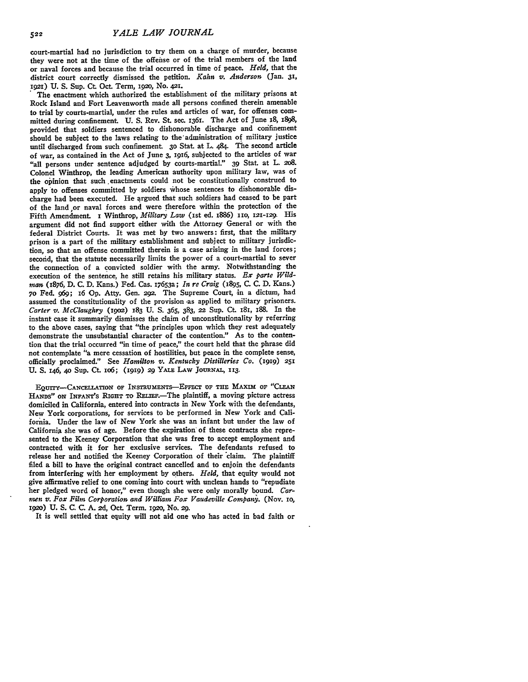court-martial had no jurisdiction to try them on a charge of murder, because they were not at the time of the offense or of the trial members of the land or naval forces and because the trial occurred in time of peace. *Held,* that the district court correctly dismissed the petition. *Kahn v. Anderson* (Jan. **31, i921) U. S.** Sup. Ct Oct. Term, **192o,** No. **421.**

The enactment which authorized the establishment of the military prisons at Rock Island and Fort Leavenworth made all persons confined therein amenable to trial **by** courts-martial, under the rules and articles of war, for offenses committed during confinement. **U. S.** Rev. St. sec. **1361.** The Act of June i8, 1898, provided that soldiers sentenced to dishonorable discharge and corifinement should be subject to the laws relating to the'administration of military justice until discharged from such confinement. 30 Stat. at L. 484. The second article of war, as contained in the Act of June **3,** 1916, subjected to the articles of war "all persons under sentence adjudged **by** courts-martial." **39** Stat. at L. 2o8. Colonel Winthrop, the leading American authority upon military law, was of the opinion that such enactments could not be constitutionally construed to apply \*to offenses committed **by** soldiers whose sentences to dishonorable discharge had been executed. He qrgued that such soldiers had ceased to be part of the land or naval forces and were therefore within the protection of the Fifth Amendment. i Winthrop, *Military Law* (ist ed. 1886) **iio, 121-i29.** His argument did not find support either with the Attorney General or with the federal District Courts. It was met **by** two answers: first, that the military prison is a part of the military establishment and subject to military jurisdiction, so that an offense committed therein is a case arising in the land forces; second, that the statute necessarily limits the power of a court-martial to sever the connection of a convicted soldier with the army. Notwithstanding the execution of the sentence, he still retains his military status. *Ex parte Wildman* (1876, **D. C. D.** Kans.) Fed. Cas. I7653a; *In re Craig* (895, **C. C. D.** Kans.) *7o* Fed. *969;* 16 **Op.** Atty. Gen. *29.* The Supreme Court, in a dictum, had assumed the constitutionality of the provision as applied to military prisoners. *Carter v. McClaughry* **(1902) 183 U. S. 365, 383, 22** Sup. Ct. I8I, 188. In the instant case it summarily dismisses the claim of unconstitutionality **by** referring to the above cases, saying that "the principles upon which they rest adequately demonstrate the unsubstantial character of the contention." As to the contention that the trial occurred "in time of peace," the court held that the phrase did not contemplate *'a* mere cessation of hostilities, but peace in the complete sense, officially proclaimed." See *Hamilton v. Kentucky Distilleries Co.* **(I919) 251 U. S. 146, 40** Sup. Ct. io6; **(i919)** 29 **YALE LAW** JOURNAL, **113.**

**EQUITY-CANCELLATION OF INSTRUMENTS-EFFECT OF THE** MAXIM **OF "CLEAN** HANDS" ON INFANT'S RIGHT TO RELIEF. The plaintiff, a moving picture actress domiciled in California, entered into contracts in New York with the defendants, New York corporations, for services to be performed in New York and California. Under the law of New York she was an infant but under the law of California she was of age. Before the expiration' of these contracts she represented to the Keeney Corporation that she was free to accept employment and contracted with it for her exclusive services. The defendants refused to release her and notified the Keeney Corporation of their 'claim. The plaintiff filed a bill to have the original contract cancelled and to enjoin the defendants from interfering with her employment **by** others. *Held,* that equity would not give affirmative relief to one coming into court with unclean hands to "repudiate her pledged word of honor," even though she were only morally bound. *Carmen v. Fox Film Corporation and William Fox Vaudeville Company.* (Nov. **lo, 192o) U. S. C.** C. A. **2d,** Oct. Term. **192o, No. 29.**

It is well settled that equity will not aid one who has acted in bad faith or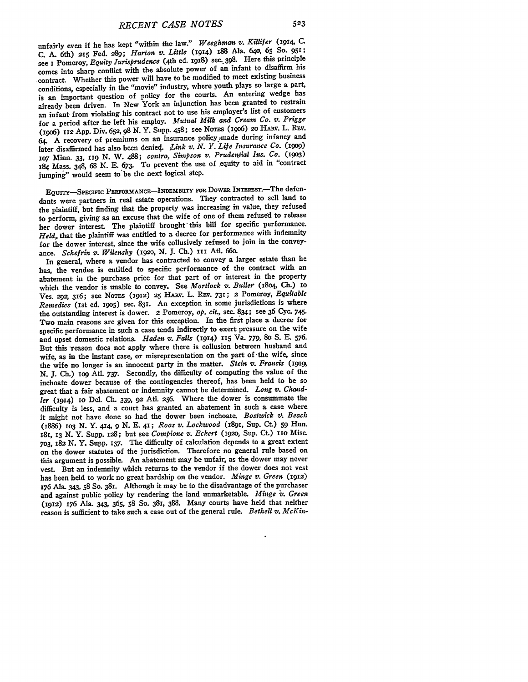unfairly even if he has kept "within the law." *Weeghman v. Killifer* (1914, **C. C. A.** 6th) **215** Fed. **289;** *Harton v. Little* **(1914) 188** Ala. 640, **65** So. **95z;** see **I** Pomeroy, *Equity Jurisprudence* (4th ed. igi) **sec..39 <sup>8</sup> .** Here this principle comes into sharp conflict with the absolute power of an infant to disaffirm his .contract. Whether this power will have to be modified to meet existing business conditions, especially in the "movie" industry, where youth plays so large a part, is an important question of policy for the courts. An entering wedge has already been driven. In New York an injunction has been granted to restrain an infant from violating his contract not to use his employer's list of customers for a period after he left his employ. *Mutual Milk and Cream Co. v. Prigge* (I9o6) **xi2 App.** Div. **652, 98** N. Y. Supp. 458; see **NoTES** (I9o6) **20** HARv. L. REv. 64. **<sup>A</sup>**recovery of premiums on an insurance policy.imade during infancy and later disaffirmed has also been denied. *Link* **v.** *N. Y. Life Insurance Co.* (i9o9) **io7** Minn. **33,** rig **N.** W. 488; *contra, Simpson v. Prudential Ins. Co.* **(19o3)** 184 Mass. 348, 68 **N.** E. 673. To prevent the use of .equity to aid in "contract jumping" would seem to be the next logical step.

EQUITY-SPEcIFIC **PERFORMANCE-INDEMNITY FOR** DowER INTEREsT.-The defendants were partners in real estate operations. They contracted to sell land to the plaintiff, but finding that the property was increasing in value, they refused to perform, giving as an excuse that the wife of one of them refused to release her dower interest. The plaintiff brought this bill for specific performance. Held, that the plaintiff was entitled to a decree for performance with indemnity for the dower interest, since the wife collusively refused to join in the conveyance. *Schefrin v. Wilensky (i92O,* **N. J. Ch.) III** Atl. 66o.

In general, where a vendor has contracted to convey a larger estate than he has, the vendee is entitled to specific performance of the contract with an abatement in the purchase price for that part of or interest in the property which the vendor is unable to convey. 'See *Mortlock v. Buller* (1804, Ch.) io Ves. 292, 316; see Nores (1912) 25 HARV. L. REV. 731; 2 Pomeroy, Equitable *Remedies* **(Ist** ed. **19o5)** sec. 831. An exception in some jurisdictions is where the outstanding interest is dower. 2 Pomeroy, *op. cit.,* sec. 834; see **36** Cyc. 745. Two main reasons are given for this exception. In the first place a decree for specific performance in such a case tends indirectly to exert pressure on the wife and upset domestic relations. *Haden v. Falls* **(1914) 115** Va. **779,** 8o **S. E. 576.** But this reason does not apply where there is collusion between husband and wife, as in the instant case, or misrepresentation on the part of the wife, since the wife no longer is an innocent party in the matter. *Stein v. Francis* **(ig9 N. J. Ch.)** iog Atl. **737.** Secondly, the difficulty of computing the value of the inchoate dower because of the contingencies thereof, has been held to be so great that a fair abatement or indemnity cannot be determined. *Long v. Chandler* **(1914)** io Del. **Ch.** 339, **92 At. 256.** Where the dower is consummate the difficulty is less, and a court has granted an abatement in such a case where it might not have done so had the dower been inchoate. *Bostwick v. Beach* **(i886) 1o3 N. Y. 414, 9 N. E. 41;** *Roos v. Lockwood* (i89I, Sup. **Ct) 59** Hun. 18I, **13** N. Y. Supp. **128;** but see *Compione v. Eckert* **(192o,** Sup. **Ct.) iio** Misc. **7o3,** 182 **N.** Y. Supp. **137.** The difficulty of calculation depends to a great extent on the dower statutes of the jurisdiction. Therefore no general rule based on this argument is possible. An abatement may be unfair, as the dower may never vest. But an indemnity which returns to the vendor if the dower does not vest has been held to work no great hardship on the vendor. *Minge v. Green* (1912) **<sup>176</sup>**Ala. **343, 58 So.** 38r. Although it may be to the disadvantage of the purchaser and against public policy **by** rendering the land unmarketable. *Minge i. Green* (1912) 176 Ala. 343, 365, **58 So.** 381, **388.** Many courts have held that neither reason is sufficient to take such a case out of the general rule. *Bethell v. McKin-*

 $\ddot{\phantom{0}}$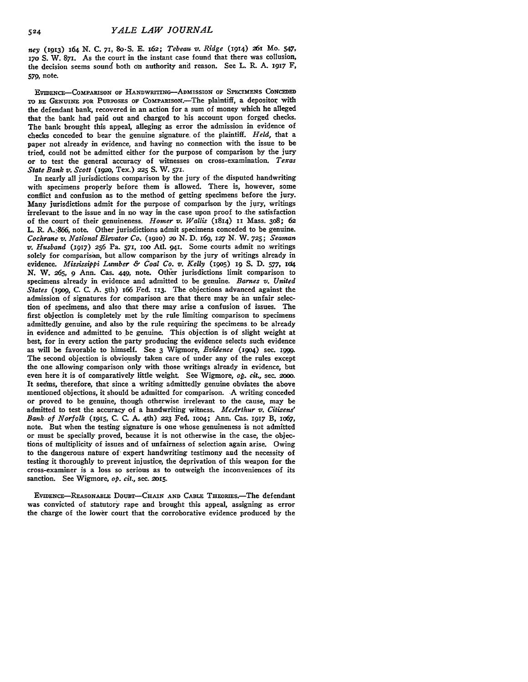*ney* **(1913)** 164 **N. C. 71,** 8o-S. **E.** 162; *Tebeau v. Ridge* (1914) **26i** Mo. 547, **17O S.** W. **871.** As the court in the instant case found that there was collusion, the decision seems sound both **on** authority and reason. See L. R. **A. 1917** F, 579, note.

EVIDENCE-COMPARISON **OF** HANDWRITING-ADMISSION **OF** SPECIMENS CONCEDED **TO BE** GENUINE **FOR** PUPosEs **OF** CoMPAmsoN.-The plaintiff, a depositor with the defendant bank, recovered in an action for a sum of money which he alleged that the bank had paid out and charged to his account upon forged checks. The bank brought this appeal, alleging as error the admission in evidence of checks conceded to bear the genuine signature, of the plaintiff. *Held,* that a paper not already in evidence, and having no connection with the issue to be tried, could not be admitted either for the purpose of comparison **by** the jury or to test the general accuracy of witnesses on cross-examination. *Texas State Bank v. Scott* **(192o,** Tex.) *225* **S.** W. 571.

In nearly all jurisdictions comparison **by** the jury of the disputed handwriting with specimens properly before them is allowed. There is, however, some conflict and confusion as to the method of getting specimens before the jury. Many jurisdictions admit for the purpose of comparison **by** the jury, writings irrelevant to the issue and in no way in the case upon proof to the satisfaction of the court of their genuineness. *Homer v. Wallis* (1814) **II** Mass. 3o8; **62** L. **R. A.-866,** note. Other jurisdictions admit specimens conceded to be genuine. *Cochrane v. National Elevator Co.* (igio) **20** N. **D. I6,** *I27* N. W. **725;** *Seaman*  $v.$  *Husband* (1917) 256 Pa. 571, 100 Atl. 941. Some courts admit no writings solely for comparison, but allow comparison **by** the jury of writings already in evidence. *Mississippi Lumber & Coal Co. v. Kelly* (i9o5) **ig S. D.** *577,* **CI4 N.** W. **265, 9** Ann. Cas. 449, note. Other jurisdictions limit comparison to specimens already in evidence and admitted to be genuine. *Barnes v. United States (igog,* **C. C. A.** 5th) 166 Fed. **113.** The objections advanced against the admission of signatures for comparison are that there may be an unfair selection of specimens, and also that there may arise a confusion of issues. The first objection is completely met **by** the rule limiting comparison to specimens admittedly genuine, and also **by** the rule requiring the specimens to be already in evidence and admitted to be genuine. This objection is of slight weight at **best,** for in every action the party producing the evidence selects such evidence as will be favorable to himself. See 3 Wigmore, *Evidence* **(19o4)** sec. iggg. The second objection is obviously taken care of under any of the rules except the one allowing comparison only with those writings already in evidence, but even here it is of comparatively little weight. See Wigmore, *op. cit.,* sec. **200o.** It see'ms, therefore, that since a writing admittedly genuine obviates the above mentioned objections, it should be admitted for comparison. A writing conceded or proved to be genuine, though otherwise irrelevant to the cause, may be admitted to test the accuracy of a handwriting witness. *McArthur v. Citizens Bank- of* Norfolk **(1915, C. C. A.** 4th) **223** Fed. ioo4; Ann. Cas. 1917 B, **io67,** note. But when the testing signature is one whose genuineness is not admitted or must be specially proved, because it is not otherwise in the case, the objections of multiplicity of issues and of unfairness of selection again arise. Owing to the dangerous nature of expert handwriting testimony and the necessity of testing it thoroughly to prevent injustice, the deprivation of this weapon for the cross-examiner is a loss so serious as to outweigh the inconveniences of its sanction. See Wigmore, *op. cit.,* sec. **2D15.**

EVIDENCE-REASONABLE DOUBT-CHAIN AND CABLE THEORIES.-The defendant was convicted of statutory rape and brought this appeal, assigning as error the charge of the lower court that the corroborative evidence produced **by** the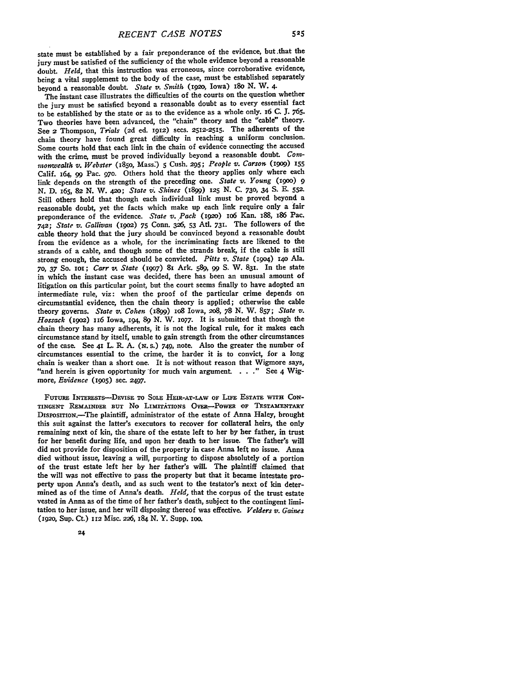state must be established **by** a fair preponderance of the evidence, but.that the jury must be satisfied of the sufficiency of the whole evidence beyond a reasonable doubt. *Held,* that this instruction was erroneous, since corroborative evidence, being a vital supplement to the body of the case, must be established separately beyond a reasonable doubt. *State v. Smith* **(I920,** Iowa) **i8o N.** W. 4.

The instant case illustrates the difficulties of the courts on the question whether the jury must be satisfied beyond a reasonable doubt as to every essential fact to be established **by** the state or as to the evidence as a whole only. I6 **C.** *J.* **765.** Two theories have been advanced, the "chain" theory and the "cable" theory. See 2 Thompson, *Trials* **(2d** ed. 1912) secs. **25I2-2515.** The adherents of the chain theory have found great difficulty in reaching a uniform conclusion. Some courts hold that each link in the chain of evidence connecting the accused with the crime, must be proved individually beyond a reasonable doubt. *Commorwealth v. Webster* (i85o, Mass.) **5** Cush. **295;** *People z. Carson* **(I9o9) 155** Calif. 164, **99** Pac. **97o.** Others hold that the theory applies only where each link depends on the strength of the preceding one. *State v. Young* **(19oo) 9 N. D. 165,** 82 **N.** W. 42o; *State zi. Shines* (1899) **125 N. C. 730,** 34 **S. E. 552.** Still others hold that though each individual link must be proved beyond a reasonable doubt, yet the facts which make up each link require only a fair preponderance of the evidence. *State v. Pack* **(192o)** io6 Kan. 188, 186 Pac. *742; State v. Gallivan* **(1902) 75** Conn. **326, 53** Atl. **731.** The followers of the cable theory hold that the jury should be convinced beyond a reasonable doubt from the evidence as a whole, for the incriminating facts are likened to the strands of a cable, and though some of the strands break, if the cable is still strong enough, the accused should be convicted. *Pitts v. State* **(i9o4) i4o** Ala. **70, 37 So. IOI;** *Carr . State* **(19o7)** 8i Ark. **589,** 99 **S.** W. 831. In the state in which the instant case was decided, there has been an unusual amount of litigation on this particular point, but the court seems finally to have adopted an intermediate rule, viz: when the proof of the particular crime depends on circumstantial evidence, then the chain theory is applied; otherwise the cable theory governs. *State v. Cohen* (1899) io8 Iowa, 208, **78 N.** W. **857;** *State v. Hossack* **(i9o2)** 1I6 Iowa, **194, 8g** N. W. **1O77.** It is submitted that though the chain theory has many adherents, it is not the logical rule, for it makes each circumstance stand **by** itself, unable to gain strength from the other circumstances of the case. See **41** L. R A. **(N.** s.) 749, note. Also the greater the number of circumstances essential to the crime, the harder it is to convict, for a long chain is weaker than a short one. It is not. without reason that Wigmore says, "and herein is given opportunity for much vain argument . . *."* See 4 Wigmore, *Evidence* **(1905)** sec. *2497.*

FUTURE INTERESTS---DEVISE TO SOLE HEIR-AT-LAW OF LIFE ESTATE WITH CON-TINGENT REMAINDER BUT NO LIMITATIONS OVER-POWER OF TESTAMENTARY Disposition.-The plaintiff, administrator of the estate of Anna Haley, brought this suit against the latter's executors to recover for collateral heirs, the only remaining next of kin, the share of the estate left to her **by** her father, in trust for her benefit during life, and upon her death to her issue. The father's will did not provide for disposition of the property in case Anna left no issue. Anna died without issue, leaving a will, purporting to dispose absolutely of a portion of the trust estate left her by her father's will. The plaintiff claimed that the will was not effective to pass the property but that it became intestate property upon Anna's death, and as such went to the testator's next of kin determined as of the time of Anna's death. *Held,* that the corpus of the trust estate vested in Anna as of the time of her father's death, subject to the contingent **limi**tation to her issue, and her will disposing thereof was effective. *Velders v. Gaines (1920,* **Sup. Ct.) 112** Misc. 226, 184 **N.** Y. Supp. **io.**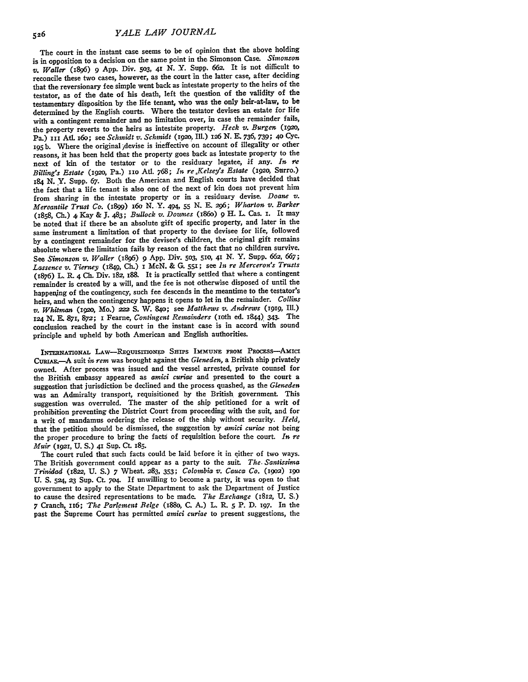The court in the instant case seems to be of opinion that the above holding is in opposition to a decision on the same point in the Simonson Case. *Simonson v. Waller (1896)* **9 App.** Div. **503, 41 N.** Y. Supp. 662. It is not difficult to reconcile these two cases, however, as the court in the latter case, after deciding that the reversionary fee simple went back as intestate property to the heirs of the testator, as of the date of his death, left the question of the validity of the testamentary disposition **by** the life tenant, who was the only heir-at-law, to be determined **by** the English courts. Where the testator devises an estate for life with a contingent remainder and no limitation over, in case the remainder fails, the property reverts to the heirs as intestate property. *Heck v. Burgen* **(192o,** Pa.) **I1I** AtL 16o; see *Schmidt v. Schmidt* (1920, Ill.) 126 **N. E. 736, 739; 40** Cyc. **195 b.** Where the original )devise is ineffective on account of illegality or other reasons, it has been held that the property goes back as intestate property to the next of kin of the testator or to the residuary legatee, if any. *In Ie Billing's Estate* **(i920,** Pa.) io Atl. 768; *In re,Kelsey's Estate* **(1920,** Surro.) <sup>184</sup>**N.** Y. Supp. *67.* Both the American and English courts have decided that the fact that a life tenant is also one of the next of kin does not prevent him from sharing in the intestate property or in a residuary devise. *Doane v*. *Mercantile Trust Co.* (1899) i6o **N.** Y. 494, **55** N. **E.** 296; *Wharton v. Barker* (i858, Ch.) 4 Kay & *3.* 483; *Bullock v. Downes* (i86o) 9 H. L. Cas. **I.** It may be noted that if there be an absolute gift of specific property, and later in the same instrument a limitation of that property to the devisee for life, followed by a contingent remainder for the devisee's children, the original gift remains absolute where the limitation fails by reason of the fact that no children survive. *See Simonson v. Wailer* (896) 9 **App.** Div. **503,** 510, **41** N. Y. Supp. *662,* 667; *Lassence v. Tierney* (1849, **CI.)** I McN. & **G. 551;** see *In re Merceron's Trusts* **(1876)** L. **P.** 4 **Ch.** Div. **182, 188.** It is practically settled that where a contingent remainder is created **by** a will, and the fee is not otherwise disposed of until the happening of the contingency, such fee descends in the meantime to the testator's heirs, and when the contingency happens it opens to let in the remainder. *Collins*  $v.$  *Whitman* (1920, Mo.) 222 S. W. 840; see *Matthews v. Andrews* (1919, Ill.) **124 N.** E. 871, **872; I** Fearne, *Contingent Remainders* (ioth **ed.** 1844) 343. The conclusion reached **by** the court in the instant case is in accord with sound principle and upheld **by** both American and English authorities.

**INTERNATIONAL LAW-REQUISITIoNED SHIPS IMMUNE FROM PROCESS-AMICI** CuRiAE.-A suit *in rem* was brought against the *Gleneden,* a British ship privately owned. After process was issued and the vessel arrested, private counsel for the Biitish embassy appeared as *amici curiae* and presented to the court a suggestion that jurisdiction be declined and the process quashed, as the *Gleneden* was an Admiralty transport, requisitioned **by** the British government. This suggestion was overruled. The master of the ship petitioned for a writ of prohibition preventing the District Court from proceeding with the suit, and for a writ of mandamus ordering the release of the ship without security. *Held,* that the petition should be dismissed, the suggestion **by** *amici curiae* not being the proper procedure to bring the facts of requisition before the court. In re *Muir* **(1921, U. S.) 41** Sup. Ct. **185.**

The court ruled that such facts could be laid before it in either of two ways. The British government could appear as a party to the suit. *The. Santissima Trinidad* (822, **U. S.)** *7* Wheat. **283, 353;** *Colombia v. Cauca Co.* **(I9O2) 190 U. S.** 524, **23** Sup. Ct. **704.** If unwilling to become a party, it was open to that government to apply to the State Department to ask the Department of Justice to cause the desired representations to be made. *The Exchange* (1812, **U. S.)** 7 Cranch, 116; *'The Parlement Belge* (i8go, **C. A.)** L. R. **5** P. **D.** 197. In the past the Supreme Court has permitted *amici curiae* to present suggestions, the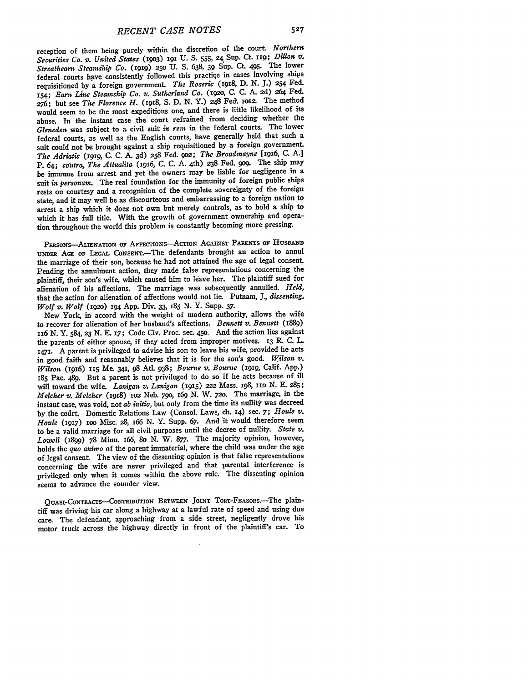reception of them being purely within the discretion of the court. *Northern Securities Co. v. United States* (1903) 191 **U. S. 555, 24** Sup. Ct. 1g; *Dillon v. Streathearn Steainihip Co.* (1gig) **250 U.** S. **638, 39** Sup. Ct. 495. The lower federal courts have consistently followed this practiqe in cases involving ships requisitioned by a foreign government. *The Roseric* (1918, D. N. **J.) 254** Fed. **154;** *Earn Line Steamship Co. v. Sutherland Co.* **(1920, C. C. A. 2d) 264 Fed. 276;** but see *The Florence H.* (igi, **S. D. N.** Y.) 248 Fed. *1oi2.* The method would seem to **be** the most expeditious one, and there is little likelihood of its abuse. In the instant case the court refrained from deciding whether the *Gleneden* was subject to a civil suit *in rein* in the federal courts. The lower federal courts, as well as the English courts, have generally held that such a suit could not be brought against a ship requisitioned **by** a foreign government. *The Adriatic* (igig, **C. C. A. 3d) 258** Fed. *9o2; The Broadmayne* [ig16, **C. A.]** P. 64; *cohtra, The Attualita* (1916, **C. C. A.** 4th) z38 Fed. **9o9.** The ship may be immune from arrest and yet the owners may be liable for negligence in a suit *in personam.* The real foundation for the immunity of foreign public ships rests on courtesy and a recognition of the complete sovereignty of the foreign state, and it may well be as discourteous and embarrassing to a foreign nation to arrest a ship which it does not own but merely controls, as to hold a ship to which it has full title. With the growth of government ownership and operation throughout the world this problem is constantly becoming more pressing.

**PERsoNs-AIENATIoN OF AFFECTIONS-AcTIoN AGAINST** PARENTS **OF HUSBAND** UNDER AGE OF LEGAL CONSENT.-The defendants brought an action to annul the marriage of their son, because he had not attained the age of legal consent. Pending the annulment action, they made false representations concerning the plaintiff, their son's wife, which caused him to leave her. The plaintiff sued for alienation of his affections. The marriage was subsequently annulled. *Held,* that the action for alienation of affections would not lie. Putnam, *J., dissenting. Wolf v. Wolf* **(1920) 194 App.** Div. **33, 185 N.** Y. Supp. **37.**

New York, in accord with the weight of modem authority, allows the wife to recover for alienation of her husband's affections. *Bennett v. Bennett (z889)* **116 N.** Y. 584, **23 N. E.** *17;* Code Civ. Proc. sec. **45o.** And the action lies against the parents of either spouse, if they acted from improper motives. **13 R. C.** L. **I471. A** parent is privileged to advise his son to leave his wife, provided he acts in good faith and reasonably believes that it is for the son's good. *Wilson v. Wilson* (1916) 115 Me. **341, 98** At. **938;** *Bourne v. Bourne* **(igig,** Calif. **App.)** 185 Pac. 489. But a parent is not privileged to do so if he acts because of ill will toward the wife. *Lanigan v. Lanigan* (1915) *222* Mass. 198, **11o N. E. 285;** *Melcher v. Melcher* (1918) *io2* Neb. *790,* 169 N. W. 72o. The marriage, in the instant case, was void, not *ab initio,* but only from the time its nullity was decreed **by** the court. Domestic Relations Law (Consol. Laws, ch. **4)** sec. **7;** *Houle v. Houle* (1917) ioo Misc. **28,** 166 **N.** Y. Supp. **67.** And 'it would therefore seem to be a valid marriage for all civil purposes until the decree of nullity. *State v. Lowell* (1899) **78** Minn. i66, **8o N.** W. **877.** The majority opinion, however, holds the *quo animo* of the parent immaterial, where the child was under the age of legal consent. The view of the dissenting opinion is that false representations concerning the wife are never privileged and that parental interference is privileged only when it comes within the above rule. The dissenting opinion seems to advance the sounder view.

QUASI-CONTRACTS-CONTRIBUTION BETWEEN JOINT TORT-FEASORS.<sup>--The plain-</sup> tiff was driving his car along a highway at a lawful rate of speed and using due care. The defendant, approaching from a side street, negligently drove his motor truck across the highway directly in front of the plaintiff's car. To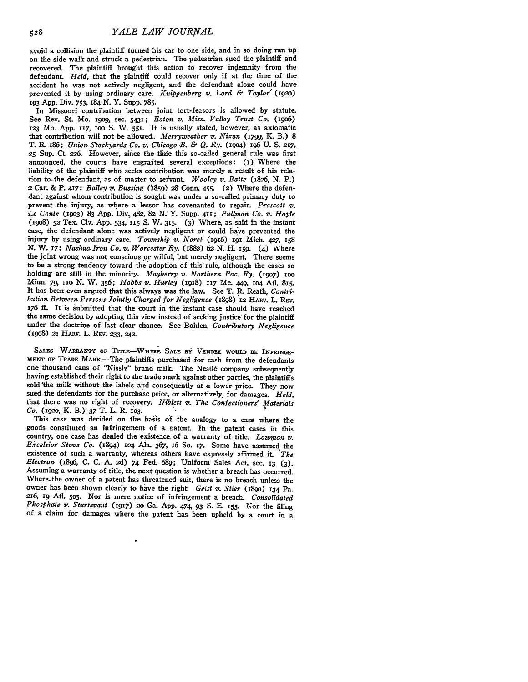avoid a collision the plaintiff turned his car to one side, and in so doing ran up on the side walk and struck a pedestrian. The pedestrian sued the plaintiff and recovered. The plaintiff brought this action to recover indemnity from the defendant. *Held,* that the plaintiff could recover only if at the time of the accident he was not actively negligent, and the defendant alone could have prevented it **by** using ordinary care. *Knippenberg v. Lord & Taylor'* (i92o) **193 App.** Div. **753,** 184 **N.** Y. Supp. **785.**

In Missouri contribution between joint tort-feasors is allowed **by** statute. See Rev. St. Mo. *1909,* sec. 5431; *Eaton* v. *Miss. Valley Trust Co.* (i9o6) **123** Mo. **App. 117, 100 S.** W. **551.** It is usually stated, however, as axiomatic that contribution will not be allowed.. *Merryweather v. Nixan* (1799, K. B.) **8** T. R. **x86;** *Union Stockyards Co.* **v.** *Chicago B. & Q. Ry.* **(19o4)** 196 **U. S. 217, 25** Sup. Ct. *--&6.* However, since the tinie this so-called general rule was first announced, the courts have engrafted several exceptions: (i) Where the liability of the plaintiff who seeks contribution was merely a result of his relation to.,the defendant, as of master to servant. *Wooley v. Batte (1826,* N. P.) 2 Car. & P. 417; *Bailey v. Bussing* **(i859) 28** Conn. 455. (2) Where the defendant against whom contribution is sought was under a so-called primary duty to prevent the injury, as where a lessor has covenanted to repair. *Prescott v. Le Conte* (I9o3) 83 App. Div. 48, *82 N:* Y. Supp. **411;** *Pullman Co. v.* Hoyle **(1908) 52** Tex. Civ. App. 534, **11 S.** W. **315. (3)** Where, as said in the instant case, the defendant alone was actively negligent or could have prevented the injury by using ordinary care. *Township v. Noret* (I916) 191 Mich. 427, **<sup>158</sup>** *N.* W. **17;** *Nashua Iron Co. v. Worcester Ry.* (I882) 62 *N.* H. **159.** (4) Where the joint wrong was not conscious or wilful, but merely negligent. There seems to be a strong tendency toward the adoption of this'rule, although the cases so holding are still in the minority. *Mayberry v. Northern Pac. Ry. (r907)* **100** Minn. **79, iio N.** W. 356; *Hobbs v. Hurley* **(i918) 117** Me. 449, **i04** AtI. **815.** It has been even argued that this always was the law. See T. **R.** Reath, *Contribution Between Persons Jointly Charged for Negligence* **(x898) 12** HARV. L. Rar. 176 **if.** It is submitted that the court in the instant case should have reached the same decision **by** adopting this view instead of seeking justice for the plaintiff under the doctrine of last clear chance. See Bohlen, *Contributory Negligence* (i908) **21 HARv.** L. Rav. **233,** *242.*

SALES-WARRANTY OF TITLE-WHERE SALE BY VENDEE WOULD BE INFRINGE-MENT OF TRADE MARK.-The plaintiffs purchased for cash from the defendants one thousand cans of "Nissly" brand milk. The Nestlé company subsequently having established their right to the trade mark against other parties, the plaintiffs sold 'the milk without the labels and consequently at a lower price. They now sued the defendants for the purchase price, or alternatively, for damages. *Held,* that there was no right of recovery. *Niblett v. The Confectioners' Materials Co.* (192o, K. B.)- **37** T. *L..* R. **103.**

This case was decided on the basls of the analogy to a case where the goods constituted an infringement of a patent In the patent cases in this country, one case has denied the existence, of a warranty of title. *Lowman v. E.icelsior Stove Co.* (1894) io4 Ala. *367, x6* So. **i7.** Some have assumed the existence of such a warranty, whereas others have expressly affirmed it. *'The Electron* (1896, **C. C.** A. **2d)** 74 Fed. **689;** Uniform Sales Act, sec. **13 (3).** Assuming a warranty of title, the next question is whether a breach has occurred. Where- the owner of a patent has threatened suit, there is no breach unless the owner has been shown clearly to have the right *Geist v. Stier* (i89o) **z34** Pa. **216, I9** AtI. **5o5.** Nor is mere notice of infringement a breach. *Consolidated Phosphate v. Sturtevant* **(1917) 2o** Ga. **App.** 474, 93 **S. E. I55.** Nor the filing of a claim for damages where the patent has been upheld **by** a court in a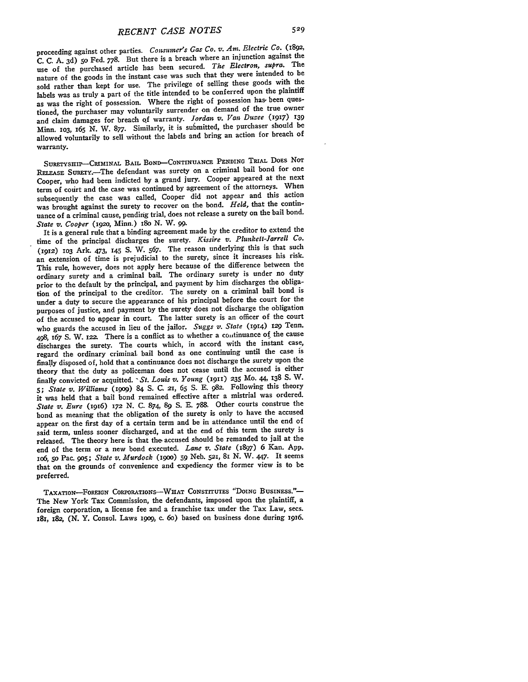proceeding against other parties. *Consumer's Gas Co. v. Am. Electric Co.* (I892, C. C. A. 3d) **5o** Fed. 778. But there is a breach where an injunction against the use of the purchased article has been secured. *The Electron, supra.* The nature of the goods in the instant case was such that they were intended to be sold rather than kept for use. The privilege of selling these goods with the labels was as truly a part of the title intended to be conferred upon the plaintiff as was the right of possession. Where the right of possession has been questioned, the purchaser may voluntarily surrender on demand of the true owner and claim damages for breach of warranty. *Jordan v. Van Duzee* (1917) 139 Minn. IO3, **<sup>165</sup>**N. W. 877. Similarly, it is submitted, the purchaser should be allowed voluntarily to sell without the labels and bring an action for breach of warranty.

**SURETYSHIP-CRIMINAL BAIL BOND-CONTINUANcE PENDING TRIAL** DoEs Nor RELEASE SURETY.-The defendant was surety on a criminal bail bond for one Cooper, who had been indicted **by** a grand jury. Cooper appeared at the next term of court and the case was continued **by** agreement of the attorneys. When subsequently the case was called, Cooper did not appear and this action was brought against the surety to recover on the bond. *Held,* that the continuance of a criminal cause, pending trial, does not release a surety on the bail bond. *State v. Cooper* **(192o,** Minn.) i8o **N.** W. **99.**

It is a general rule that a binding agreement made **by** the creditor to extend the time of the principal discharges the surety. *Kissire* **v.** *Plunkett-Jarrell Co.* **(r912) 1O3** Ark. 473, **145 S.** W. 567. The reason underlying this is that such an extension of time is prejudicial to the surety, since it increases his risk. This rule, however, does not apply here because of the difference between the ordinary surety and a criminal bail. The ordinary surety is under no duty prior to the default **by** the principal, and payment **by** him discharges the obligation of the principal to the creditor. The surety on a criminal bail bond is under a duty to secure the appearance of his principal before the court for the purposes of justice, and payment **by** the surety does not discharge the obligation of the accused to appear in court. The latter surety is an officer of the court who guards the accused in lieu of the jailor. *Suggs* **v,.** *State* (1914) **129** Tenn. 498, **167 S.** W. *122.* There is a conflict as to whether a coatinuance of the cause discharges the surety. The courts which, in accord with the instant case, regard the ordinary criminal bail bond as one continuing until the case is **finally** disposed of, hold that a continuance does not discharge the surety upon the theory that the duty as policeman does not cease until the accused is either finally convicted or acquitted. "St. *Louis* **v.** *Young (igiI)* **235** Mo. 44, **138 S.** W. **5;** *State vt. Williams (199o)* 84 **S. C.** *21,* **65 S. E.** 982. Following this theory it was held that a bail bond remained effective after a mistrial was ordered. *State z. Eure* **(i916) 172 N. C.** 874, **89 S. E. 788.** Other courts construe the bond as meaning that the obligation of the surety is oniy to have the accused appear on the first day of a certain term and be in attendance until the end of said term, unless sooner discharged, and at the end of this term the surety is released. The theory here is that the accused should be remanded to jail at the end of the term or a new bond executed. *Lane v. State* (1897) **6** Kan. **App.** 1o6, **50** Pac. 9o5; *State* **v.** *Murdock* **(190) 59** Neb. 521, 81 **N.** W. 447. It seems that on the grounds **of** convenience and expediency the former view is to be preferred.

**TAXATION-FOREIGN CORPORATIONS-WHAT CONSTrrUTES "DOING BUSINES.'--** The New York Tax Commission, the defendants, imposed upon the plaintiff, a foreign corporation, a license fee and a franchise tax under the Tax Law, secs. 181, 182, **(N.** Y. Consol. Laws **199, c.** *60)* based on business done during i916.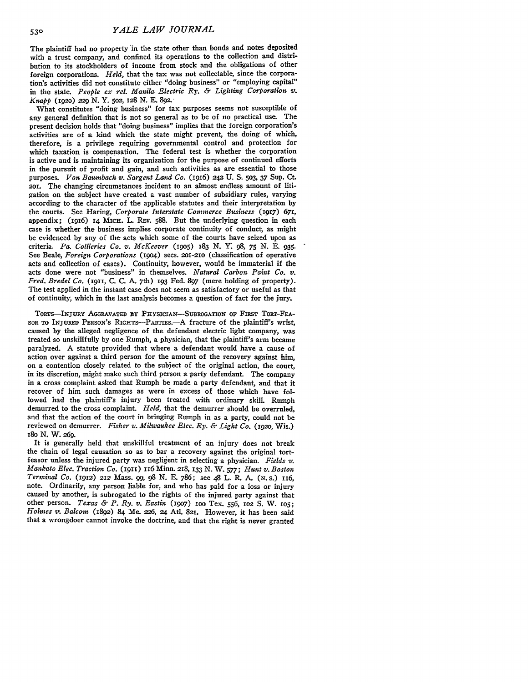The plaintiff had no property in the state other than bonds and notes deposited with a trust company, and confined its operations to the collection and distribution to its stockholders of income from stock and the obligations of other foreign corporations. *Held,* that the tax was not collectable, since the corporation's activities did not constitute either "doing business" or "employing capital" in the state. *People ex rel. Manila Electric Ry. & Lighting Corporation v. Knapp* (i92O) 29 **N. Y. 502, x28 N.** E. **892.**

What constitutes "doing business" for tax purposes seems not susceptible of any general definition that is not so general as to be of no practical use. The present decision holds that "doing business" implies that the foreign corporation's activities are of a kind which the state might prevent, the doing of which, therefore, is a privilege requiring governmental control and protection for which taxation is compensation. The federal test is whether the corporation is active and is maintaining its organization for the purpose of continued efforts in the pursuit of profit and gain, and such activities as are essential to those purposes. *Von Baumbach v. Sargent Land Co.* (1916) **242** U. S. **503, 37** Sup. Ct. **2o.** The changing circumstances incident to an almost endless amount of litigation on the subject have created a vast number of subsidiary rules, varying according to the character of the applicable statutes and their interpretation by the courts. See Haring, *Corporate Interstate Commerce Business* (1017) 671, appendix; (1916) 14 MICH. L. REV. 588. But the underlying question in each case is whether the business implies corporate continuity of conduct, as might be evidenced **by** any of the acts which some of the courts have seized upon as criteria. *Pa. Collieries Co. v. McKeever* (i9o5) 183 N. Y **98, 75 N.** E. 935. See Beale, *Foreign Corporations* **(I9O4)** secs. 2oi-2io (classification of operative acts and collection of cases). Continuity, however, would be immaterial if the acts done were not "business" in themselves. *Natural Carbon Paint Co. v. Fred. Bredel Co.* (i9xi, C. C. **A.** 7th) **193** Fed. 897 (mere holding of property). The test applied in the instant case does not seem as satisfactory or useful as that of continuity, which in the last analysis becomes a question of fact for the jury.

TORTS-INJURY AGGRAVATED BY PHYSICIAN-SUBROGATION OF FIRST TORT-FEA-SOR **TO** INJURED PERSON'S RIGHTS-PARTIES.-A fracture of the plaintiff's wrist, caused by the alleged negligence of the defendant electric light company, was treated so unskillfully by one Rumph, a physician, that the plaintiff's arm became paralyzed. **A** statute provided that where a defendant would have a cause of action over against a third person for the amount of the recovery against him, on a contention closely related to the subject of the original action, the court, in its discretion, might make such third person a party defendant. The company in a cross complaint asked that Rumph be made a party defendant, and that it recover of him such damages as were in excess of those which have followed had the plaintiff's injury been treated with ordinary skill. Rumph demurred to the cross complaint. *Held,* that the demurrer should be overruled, and that the action of the court in bringing Rumph in as a party, could not be reviewed on demurrer. *Fisher v. Milwaukee* Elec. *Ry. & Light Co. (192O,* Wis.) **i8o N.** W. **269.**

It is generally held that unskillful treatment of an injury does not break the chain of legal causation so as to bar a recovery against the original tortfeasor unless the injured party was negligent in selecting a physician. *Fields v. Mankato Elec. Traction Co.* **(IgI)** *II6* Minn. **218, 133 N.** W. *577; Hunt v. Boston Terminal Co.* **(1912) 212** Mass. 99, 98 N. **E.** 786; see 48 L. R. **A. (N.** s.) 116, note. Ordinarily, any person liable for, and who has paid for a loss or injury caused **by** another, is subrogated to the rights of the injured party against that **other** person. *Texas & P. Ry. v. Eastin* (i9o7) **ioo Tex. 556, io2 S.** W. **IO5;** *Holmes v. Balcom* (1892) 84 Me. 226, 24 Atl. **821. However,** it has been said that a wrongdoer cannot invoke the doctrine, and that the right is never granted